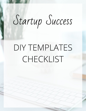## Startup Success

## DIY TEMPLATES CHECKLIST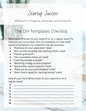Startup Success

MODULE 6 // Organize, Automate, and Outsource

## The DIY Templates Checklist

What types of emails do you respond to on a regular basis? To help give you some ideas, here are examples of a few email response templates I've created for my own business:

- *● "Thank you for your application" email*
- *● "Not currently accepting new coaching clients" email*
- *● "Podcast guest pitch"*
- *● "Free consultation follow-up" email*
- *● "Coaching package proposal"*
- *● "Marketing strategy services proposal"*
- *● "Sponsorship request response" email*
- *● "Thank you for your great feedback" email*
- *● "Here's how to apply for coaching services" email*

Now it's your turn! What emails do you respond to on a regular basis?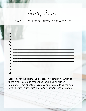Startup Success

MODULE 6 // Organize, Automate, and Outsource

| $\Box$ |  |
|--------|--|
| ❏      |  |
| $\Box$ |  |
| $\Box$ |  |
| ❏      |  |
| $\Box$ |  |
| $\Box$ |  |
| ❏      |  |
| $\Box$ |  |
| ❏      |  |
| $\Box$ |  |
| $\Box$ |  |
| ❏      |  |
| П      |  |

Looking over the list that you've creating, determine which of these emails could be responded to with a pre-written template. Remember to be creative and think outside the box! Highlight those emails that you could respond to with templates.